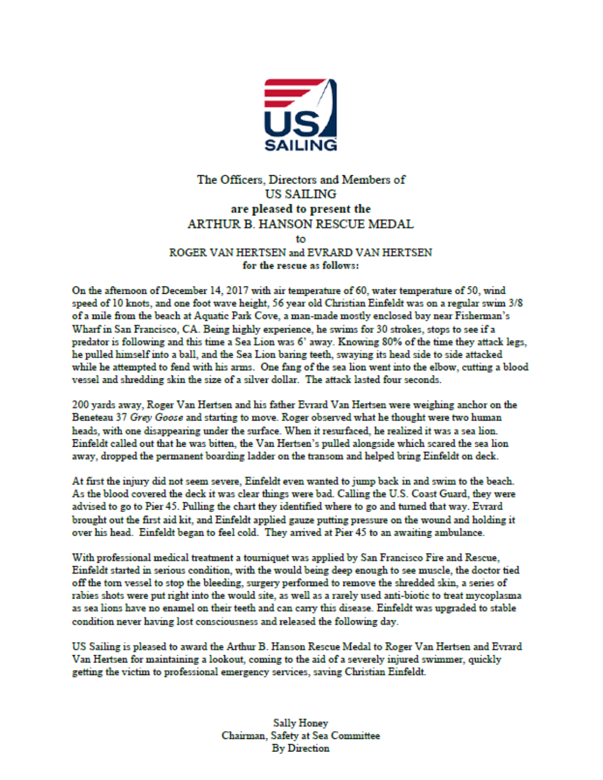

### The Officers, Directors and Members of **US SAILING** are pleased to present the ARTHUR B HANSON RESCUE MEDAL. t۵ ROGER VAN HERTSEN and EVRARD VAN HERTSEN for the rescue as follows:

On the afternoon of December 14, 2017 with air temperature of 60, water temperature of 50, wind speed of 10 knots, and one foot wave height, 56 year old Christian Einfeldt was on a regular swim 3/8 of a mile from the beach at Aquatic Park Cove, a man-made mostly enclosed bay near Fisherman's Wharf in San Francisco, CA. Being highly experience, he swims for 30 strokes, stops to see if a predator is following and this time a Sea Lion was 6' away. Knowing 80% of the time they attack legs, he pulled himself into a ball, and the Sea Lion baring teeth, swaying its head side to side attacked while he attempted to fend with his arms. One fang of the sea lion went into the elbow, cutting a blood vessel and shredding skin the size of a silver dollar. The attack lasted four seconds.

200 yards away, Roger Van Hertsen and his father Evrard Van Hertsen were weighing anchor on the Beneteau 37 Grey Goose and starting to move. Roger observed what he thought were two human heads, with one disappearing under the surface. When it resurfaced, he realized it was a sea lion. Einfeldt called out that he was bitten, the Van Hertsen's pulled alongside which scared the sea lion away, dropped the permanent boarding ladder on the transom and helped bring Einfeldt on deck.

At first the injury did not seem severe. Einfeldt even wanted to jump back in and swim to the beach. As the blood covered the deck it was clear things were bad. Calling the U.S. Coast Guard, they were advised to go to Pier 45. Pulling the chart they identified where to go and turned that way. Evrard brought out the first aid kit, and Einfeldt applied gauze putting pressure on the wound and holding it over his head. Einfeldt began to feel cold. They arrived at Pier 45 to an awaiting ambulance.

With professional medical treatment a tourniquet was applied by San Francisco Fire and Rescue, Einfeldt started in serious condition, with the would being deep enough to see muscle, the doctor tied off the torn vessel to stop the bleeding, surgery performed to remove the shredded skin, a series of rabies shots were put right into the would site, as well as a rarely used anti-biotic to treat mycoplasma as sea lions have no enamel on their teeth and can carry this disease. Einfeldt was upgraded to stable condition never having lost consciousness and released the following day.

US Sailing is pleased to award the Arthur B. Hanson Rescue Medal to Roger Van Hertsen and Evrard Van Hertsen for maintaining a lookout, coming to the aid of a severely injured swimmer, quickly getting the victim to professional emergency services, saving Christian Einfeldt.

> **Sally Honey** Chairman, Safety at Sea Committee **By Direction**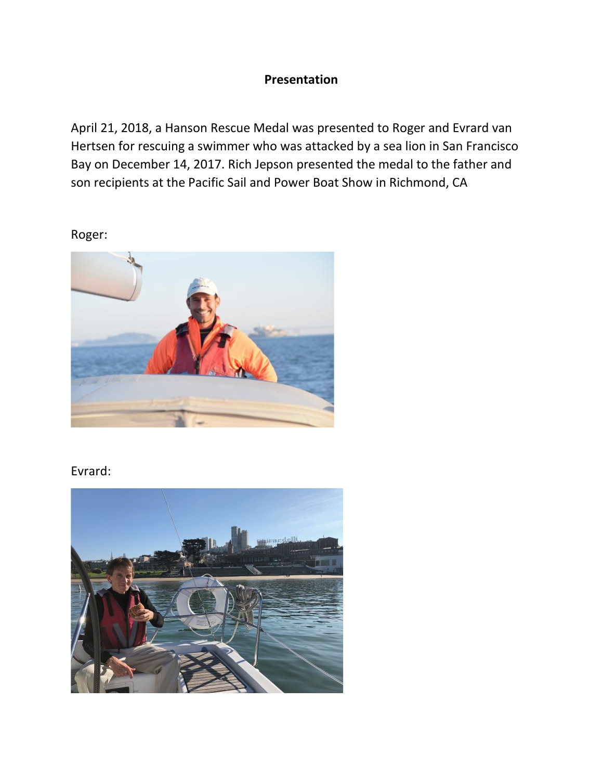# **Presentation**

April 21, 2018, a Hanson Rescue Medal was presented to Roger and Evrard van Hertsen for rescuing a swimmer who was attacked by a sea lion in San Francisco Bay on December 14, 2017. Rich Jepson presented the medal to the father and son recipients at the Pacific Sail and Power Boat Show in Richmond, CA

### Roger:



# Evrard:

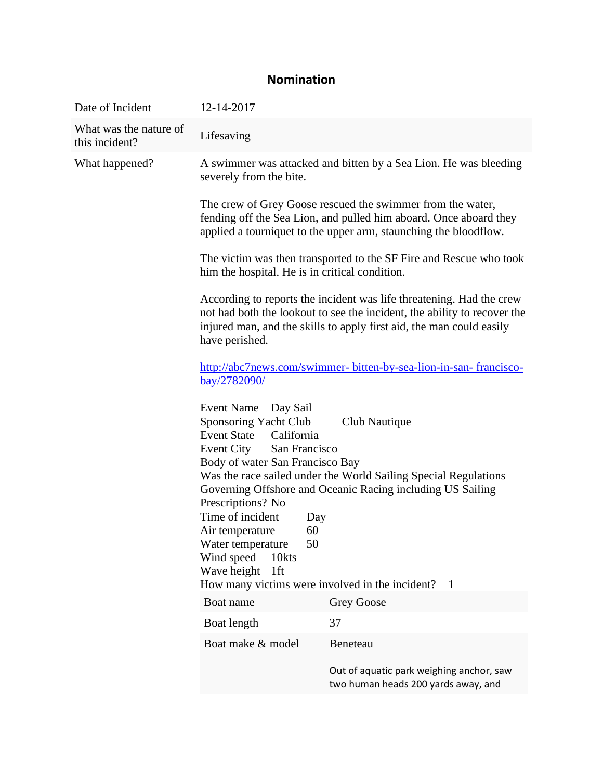# **Nomination**

| Date of Incident                         | 12-14-2017                                                                                                                                                                                                                                                                                                                                                                                                                                                                                                                                                      |                                                                                 |
|------------------------------------------|-----------------------------------------------------------------------------------------------------------------------------------------------------------------------------------------------------------------------------------------------------------------------------------------------------------------------------------------------------------------------------------------------------------------------------------------------------------------------------------------------------------------------------------------------------------------|---------------------------------------------------------------------------------|
| What was the nature of<br>this incident? | Lifesaving                                                                                                                                                                                                                                                                                                                                                                                                                                                                                                                                                      |                                                                                 |
| What happened?                           | A swimmer was attacked and bitten by a Sea Lion. He was bleeding<br>severely from the bite.                                                                                                                                                                                                                                                                                                                                                                                                                                                                     |                                                                                 |
|                                          | The crew of Grey Goose rescued the swimmer from the water,<br>fending off the Sea Lion, and pulled him aboard. Once aboard they<br>applied a tourniquet to the upper arm, staunching the bloodflow.                                                                                                                                                                                                                                                                                                                                                             |                                                                                 |
|                                          | The victim was then transported to the SF Fire and Rescue who took<br>him the hospital. He is in critical condition.                                                                                                                                                                                                                                                                                                                                                                                                                                            |                                                                                 |
|                                          | According to reports the incident was life threatening. Had the crew<br>not had both the lookout to see the incident, the ability to recover the<br>injured man, and the skills to apply first aid, the man could easily<br>have perished.                                                                                                                                                                                                                                                                                                                      |                                                                                 |
|                                          | http://abc7news.com/swimmer- bitten-by-sea-lion-in-san- francisco-<br>bay/2782090/                                                                                                                                                                                                                                                                                                                                                                                                                                                                              |                                                                                 |
|                                          | Event Name<br>Day Sail<br>Sponsoring Yacht Club<br>Club Nautique<br><b>Event State</b><br>California<br>San Francisco<br>Event City<br>Body of water San Francisco Bay<br>Was the race sailed under the World Sailing Special Regulations<br>Governing Offshore and Oceanic Racing including US Sailing<br>Prescriptions? No<br>Time of incident<br>Day<br>Air temperature<br>60<br>50<br>Water temperature<br>Wind speed<br>10kts<br>Wave height<br>1ft<br>How many victims were involved in the incident?<br>$\overline{1}$<br>Boat name<br><b>Grey Goose</b> |                                                                                 |
|                                          | Boat length                                                                                                                                                                                                                                                                                                                                                                                                                                                                                                                                                     | 37                                                                              |
|                                          | Boat make & model                                                                                                                                                                                                                                                                                                                                                                                                                                                                                                                                               | Beneteau                                                                        |
|                                          |                                                                                                                                                                                                                                                                                                                                                                                                                                                                                                                                                                 |                                                                                 |
|                                          |                                                                                                                                                                                                                                                                                                                                                                                                                                                                                                                                                                 | Out of aquatic park weighing anchor, saw<br>two human heads 200 yards away, and |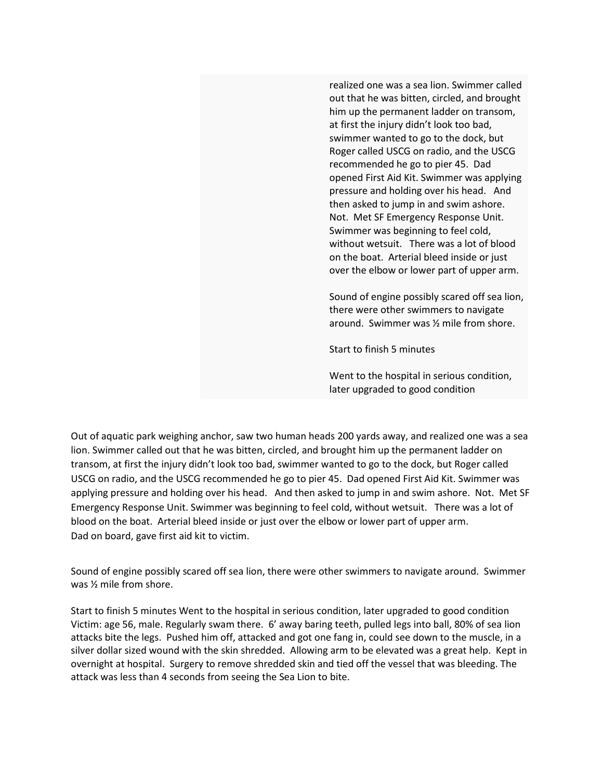realized one was a sea lion. Swimmer called out that he was bitten, circled, and brought him up the permanent ladder on transom, at first the injury didn't look too bad, swimmer wanted to go to the dock, but Roger called USCG on radio, and the USCG recommended he go to pier 45. Dad opened First Aid Kit. Swimmer was applying pressure and holding over his head. And then asked to jump in and swim ashore. Not. Met SF Emergency Response Unit. Swimmer was beginning to feel cold, without wetsuit. There was a lot of blood on the boat. Arterial bleed inside or just over the elbow or lower part of upper arm.

Sound of engine possibly scared off sea lion, there were other swimmers to navigate around. Swimmer was ½ mile from shore.

Start to finish 5 minutes

Went to the hospital in serious condition, later upgraded to good condition

Out of aquatic park weighing anchor, saw two human heads 200 yards away, and realized one was a sea lion. Swimmer called out that he was bitten, circled, and brought him up the permanent ladder on transom, at first the injury didn't look too bad, swimmer wanted to go to the dock, but Roger called USCG on radio, and the USCG recommended he go to pier 45. Dad opened First Aid Kit. Swimmer was applying pressure and holding over his head. And then asked to jump in and swim ashore. Not. Met SF Emergency Response Unit. Swimmer was beginning to feel cold, without wetsuit. There was a lot of blood on the boat. Arterial bleed inside or just over the elbow or lower part of upper arm. Dad on board, gave first aid kit to victim.

Sound of engine possibly scared off sea lion, there were other swimmers to navigate around. Swimmer was ½ mile from shore.

Start to finish 5 minutes Went to the hospital in serious condition, later upgraded to good condition Victim: age 56, male. Regularly swam there. 6' away baring teeth, pulled legs into ball, 80% of sea lion attacks bite the legs. Pushed him off, attacked and got one fang in, could see down to the muscle, in a silver dollar sized wound with the skin shredded. Allowing arm to be elevated was a great help. Kept in overnight at hospital. Surgery to remove shredded skin and tied off the vessel that was bleeding. The attack was less than 4 seconds from seeing the Sea Lion to bite.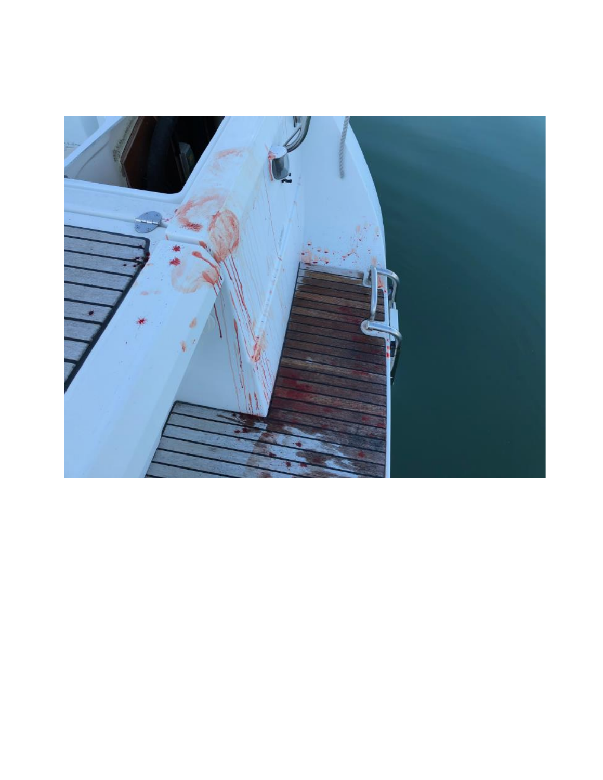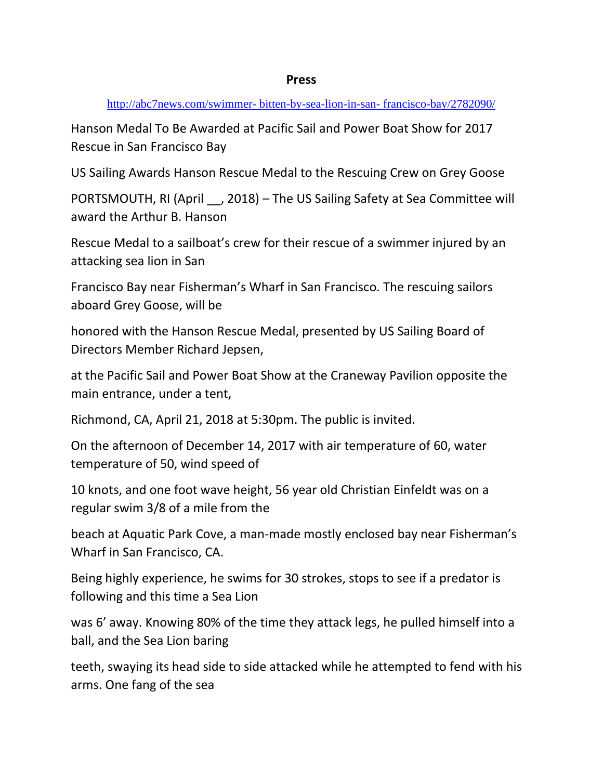#### **Press**

#### [http://abc7news.com/swimmer-](https://owa.insuremail.com/owa/redir.aspx?C=rhoN6rL6gapVhRMndyFSwPGqlKdnM94lkJ6fkt_ulEZFcLruBlnVCA..&URL=http%3a%2f%2fabc7news.com%2fswimmer-bitten-by-sea-lion-in-san-francisco-bay%2f2782090%2f) bitten-by-sea-lion-in-san- francisco-bay/2782090/

Hanson Medal To Be Awarded at Pacific Sail and Power Boat Show for 2017 Rescue in San Francisco Bay

US Sailing Awards Hanson Rescue Medal to the Rescuing Crew on Grey Goose

PORTSMOUTH, RI (April \_\_, 2018) – The US Sailing Safety at Sea Committee will award the Arthur B. Hanson

Rescue Medal to a sailboat's crew for their rescue of a swimmer injured by an attacking sea lion in San

Francisco Bay near Fisherman's Wharf in San Francisco. The rescuing sailors aboard Grey Goose, will be

honored with the Hanson Rescue Medal, presented by US Sailing Board of Directors Member Richard Jepsen,

at the Pacific Sail and Power Boat Show at the Craneway Pavilion opposite the main entrance, under a tent,

Richmond, CA, April 21, 2018 at 5:30pm. The public is invited.

On the afternoon of December 14, 2017 with air temperature of 60, water temperature of 50, wind speed of

10 knots, and one foot wave height, 56 year old Christian Einfeldt was on a regular swim 3/8 of a mile from the

beach at Aquatic Park Cove, a man-made mostly enclosed bay near Fisherman's Wharf in San Francisco, CA.

Being highly experience, he swims for 30 strokes, stops to see if a predator is following and this time a Sea Lion

was 6' away. Knowing 80% of the time they attack legs, he pulled himself into a ball, and the Sea Lion baring

teeth, swaying its head side to side attacked while he attempted to fend with his arms. One fang of the sea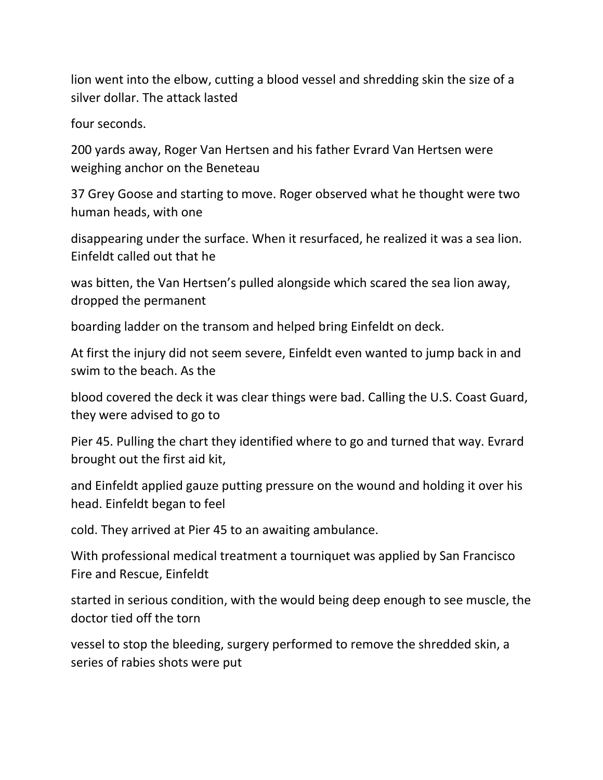lion went into the elbow, cutting a blood vessel and shredding skin the size of a silver dollar. The attack lasted

four seconds.

200 yards away, Roger Van Hertsen and his father Evrard Van Hertsen were weighing anchor on the Beneteau

37 Grey Goose and starting to move. Roger observed what he thought were two human heads, with one

disappearing under the surface. When it resurfaced, he realized it was a sea lion. Einfeldt called out that he

was bitten, the Van Hertsen's pulled alongside which scared the sea lion away, dropped the permanent

boarding ladder on the transom and helped bring Einfeldt on deck.

At first the injury did not seem severe, Einfeldt even wanted to jump back in and swim to the beach. As the

blood covered the deck it was clear things were bad. Calling the U.S. Coast Guard, they were advised to go to

Pier 45. Pulling the chart they identified where to go and turned that way. Evrard brought out the first aid kit,

and Einfeldt applied gauze putting pressure on the wound and holding it over his head. Einfeldt began to feel

cold. They arrived at Pier 45 to an awaiting ambulance.

With professional medical treatment a tourniquet was applied by San Francisco Fire and Rescue, Einfeldt

started in serious condition, with the would being deep enough to see muscle, the doctor tied off the torn

vessel to stop the bleeding, surgery performed to remove the shredded skin, a series of rabies shots were put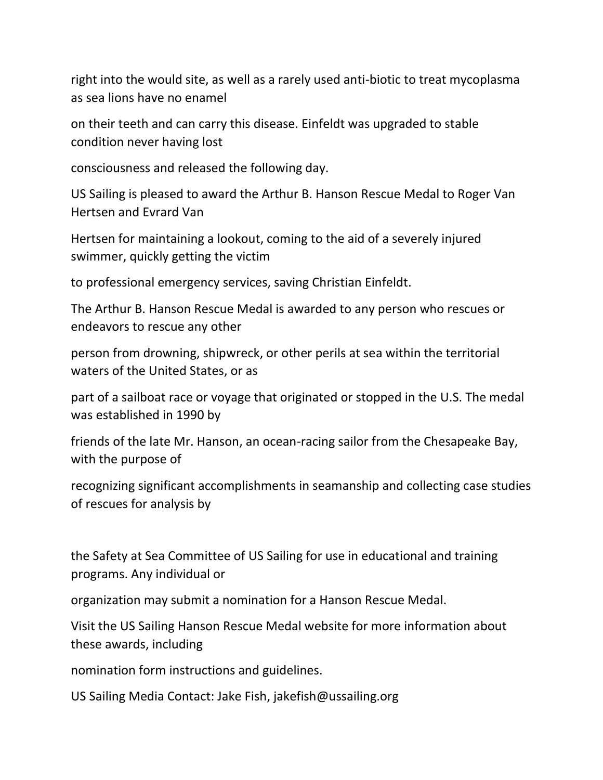right into the would site, as well as a rarely used anti-biotic to treat mycoplasma as sea lions have no enamel

on their teeth and can carry this disease. Einfeldt was upgraded to stable condition never having lost

consciousness and released the following day.

US Sailing is pleased to award the Arthur B. Hanson Rescue Medal to Roger Van Hertsen and Evrard Van

Hertsen for maintaining a lookout, coming to the aid of a severely injured swimmer, quickly getting the victim

to professional emergency services, saving Christian Einfeldt.

The Arthur B. Hanson Rescue Medal is awarded to any person who rescues or endeavors to rescue any other

person from drowning, shipwreck, or other perils at sea within the territorial waters of the United States, or as

part of a sailboat race or voyage that originated or stopped in the U.S. The medal was established in 1990 by

friends of the late Mr. Hanson, an ocean-racing sailor from the Chesapeake Bay, with the purpose of

recognizing significant accomplishments in seamanship and collecting case studies of rescues for analysis by

the Safety at Sea Committee of US Sailing for use in educational and training programs. Any individual or

organization may submit a nomination for a Hanson Rescue Medal.

Visit the US Sailing Hanson Rescue Medal website for more information about these awards, including

nomination form instructions and guidelines.

US Sailing Media Contact: Jake Fish, jakefish@ussailing.org